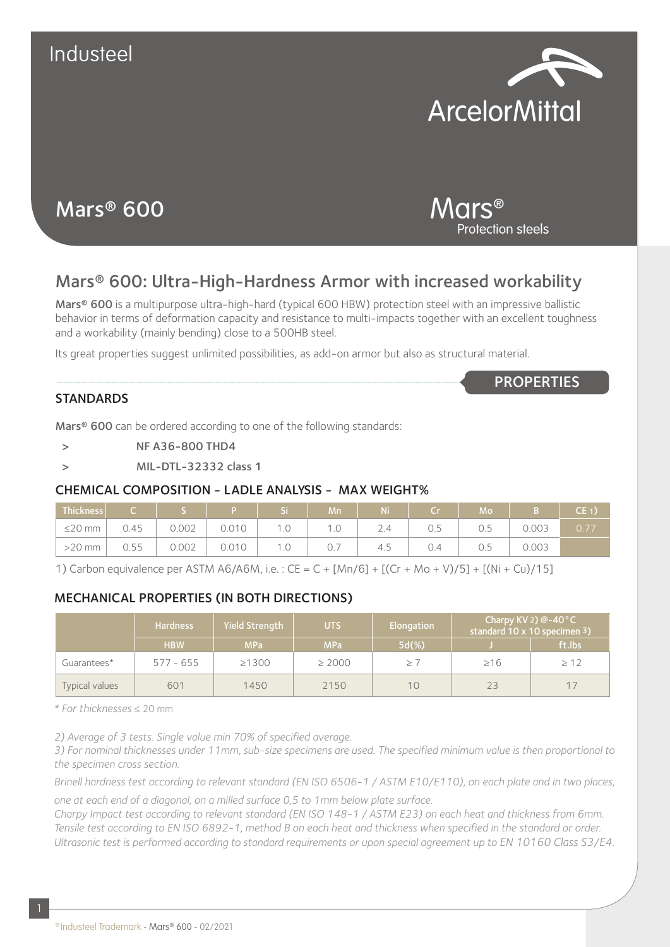

Protection steels

Mars®

**PROPERTIES** 

# Mars® 600

## Mars® 600: Ultra-High-Hardness Armor with increased workability

Mars® 600 is a multipurpose ultra-high-hard (typical 600 HBW) protection steel with an impressive ballistic behavior in terms of deformation capacity and resistance to multi-impacts together with an excellent toughness and a workability (mainly bending) close to a 500HB steel.

Its great properties suggest unlimited possibilities, as add-on armor but also as structural material.

#### **STANDARDS**

Mars<sup>®</sup> 600 can be ordered according to one of the following standards:

- > NF A36-800 THD4
- > MIL-DTL-32332 class 1

#### CHEMICAL COMPOSITION - LADLE ANALYSIS - MAX WEIGHT%

| Thickness               |      |       |       |      | <b>Mn</b> | $\sqrt{N}$ Ni $\sqrt{N}$ | $C_r$ and $C_r$ | Mo  |       | $(CE_1)$ |
|-------------------------|------|-------|-------|------|-----------|--------------------------|-----------------|-----|-------|----------|
| $^{\circ}$ $\leq$ 20 mm | 0.45 | 0.002 | 0.010 | U. L |           | 2.4                      | 0.5             | 0.5 | 0.003 | 0.77     |
| $>20$ mm                | 0.55 | 0.002 | 0.010 | 1.0  | 0.7       | 4.5                      | 0.4             | 0.5 | 0.003 |          |

1) Carbon equivalence per ASTM A6/A6M, i.e. : CE = C + [Mn/6] + [(Cr + Mo + V)/5] + [(Ni + Cu)/15]

#### MECHANICAL PROPERTIES (IN BOTH DIRECTIONS)

|                | <b>Hardness</b> | <b>Yield Strength</b><br>UTS |             | Elongation            | Charpy KV 2) $@-40°C$<br>standard 10 x 10 specimen 3) |           |
|----------------|-----------------|------------------------------|-------------|-----------------------|-------------------------------------------------------|-----------|
|                | <b>HBW</b>      | <b>MPa</b>                   | <b>MPa</b>  | $5d(\%)$              |                                                       | ft.lbs    |
| Guarantees*    | $577 - 655$     | $\geq 1300$                  | $\geq 2000$ | $\geq$ $\overline{ }$ | $\geq 16$                                             | $\geq 12$ |
| Typical values | 601             | 1450                         | 2150        | 10                    |                                                       | 17        |

*\* For thicknesses* ≤ 20 mm

*2) Average of 3 tests. Single value min 70% of specified average.*

*3) For nominal thicknesses under 11mm, sub-size specimens are used. The specified minimum value is then proportional to the specimen cross section.*

*Brinell hardness test according to relevant standard (EN ISO 6506-1 / ASTM E10/E110), on each plate and in two places, one at each end of a diagonal, on a milled surface 0,5 to 1mm below plate surface.*

*Charpy Impact test according to relevant standard (EN ISO 148-1 / ASTM E23) on each heat and thickness from 6mm. Tensile test according to EN ISO 6892-1, method B on each heat and thickness when specified in the standard or order. Ultrasonic test is performed according to standard requirements or upon special agreement up to EN 10160 Class S3/E4.*